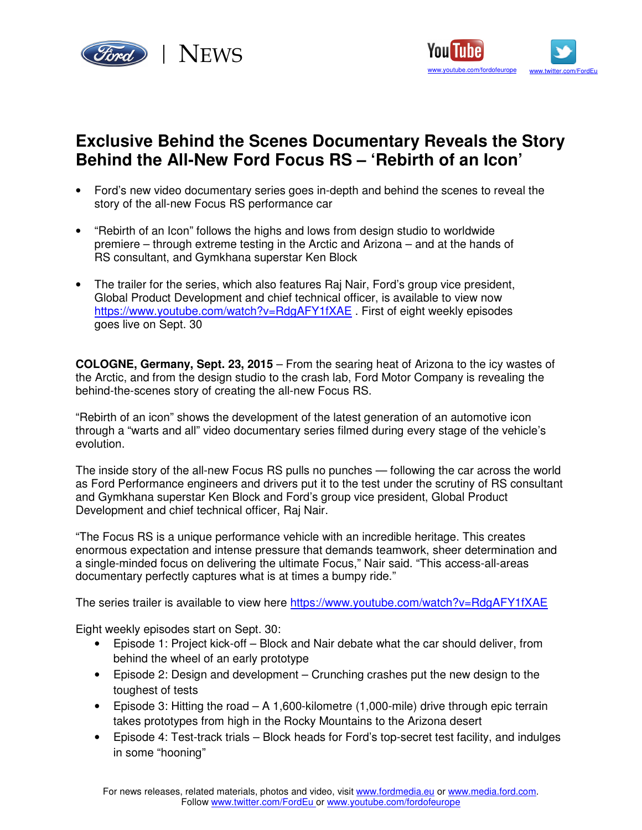



## **Exclusive Behind the Scenes Documentary Reveals the Story Behind the All-New Ford Focus RS – 'Rebirth of an Icon'**

- Ford's new video documentary series goes in-depth and behind the scenes to reveal the story of the all-new Focus RS performance car
- "Rebirth of an Icon" follows the highs and lows from design studio to worldwide premiere – through extreme testing in the Arctic and Arizona – and at the hands of RS consultant, and Gymkhana superstar Ken Block
- The trailer for the series, which also features Raj Nair, Ford's group vice president, Global Product Development and chief technical officer, is available to view now https://www.youtube.com/watch?v=RdgAFY1fXAE . First of eight weekly episodes goes live on Sept. 30

**COLOGNE, Germany, Sept. 23, 2015** – From the searing heat of Arizona to the icy wastes of the Arctic, and from the design studio to the crash lab, Ford Motor Company is revealing the behind-the-scenes story of creating the all-new Focus RS.

"Rebirth of an icon" shows the development of the latest generation of an automotive icon through a "warts and all" video documentary series filmed during every stage of the vehicle's evolution.

The inside story of the all-new Focus RS pulls no punches — following the car across the world as Ford Performance engineers and drivers put it to the test under the scrutiny of RS consultant and Gymkhana superstar Ken Block and Ford's group vice president, Global Product Development and chief technical officer, Raj Nair.

"The Focus RS is a unique performance vehicle with an incredible heritage. This creates enormous expectation and intense pressure that demands teamwork, sheer determination and a single-minded focus on delivering the ultimate Focus," Nair said. "This access-all-areas documentary perfectly captures what is at times a bumpy ride."

The series trailer is available to view here https://www.youtube.com/watch?v=RdgAFY1fXAE

Eight weekly episodes start on Sept. 30:

- Episode 1: Project kick-off Block and Nair debate what the car should deliver, from behind the wheel of an early prototype
- Episode 2: Design and development Crunching crashes put the new design to the toughest of tests
- Episode 3: Hitting the road  $A 1,600$ -kilometre (1,000-mile) drive through epic terrain takes prototypes from high in the Rocky Mountains to the Arizona desert
- Episode 4: Test-track trials Block heads for Ford's top-secret test facility, and indulges in some "hooning"